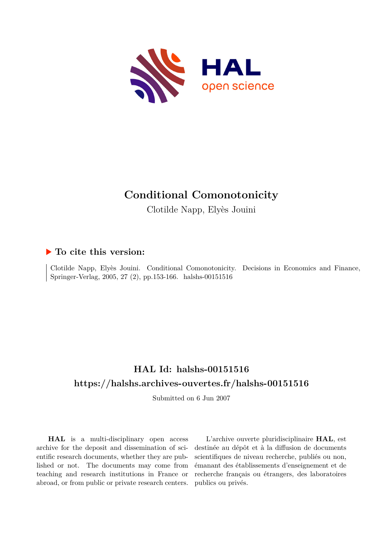

# **Conditional Comonotonicity**

Clotilde Napp, Elyès Jouini

# **To cite this version:**

Clotilde Napp, Elyès Jouini. Conditional Comonotonicity. Decisions in Economics and Finance, Springer-Verlag, 2005, 27 (2), pp.153-166. halshs-00151516

# **HAL Id: halshs-00151516 <https://halshs.archives-ouvertes.fr/halshs-00151516>**

Submitted on 6 Jun 2007

**HAL** is a multi-disciplinary open access archive for the deposit and dissemination of scientific research documents, whether they are published or not. The documents may come from teaching and research institutions in France or abroad, or from public or private research centers.

L'archive ouverte pluridisciplinaire **HAL**, est destinée au dépôt et à la diffusion de documents scientifiques de niveau recherche, publiés ou non, émanant des établissements d'enseignement et de recherche français ou étrangers, des laboratoires publics ou privés.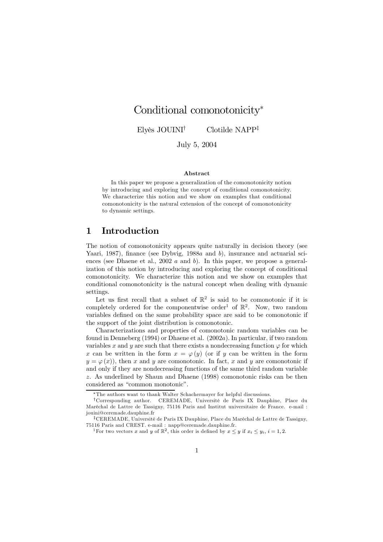# Conditional comonotonicity<sup>\*</sup>

Elyès JOUINI<sup>†</sup>  $\blacksquare$  Clotilde NAPP<sup>+</sup>

July 5, 2004

### Abstract

In this paper we propose a generalization of the comonotonicity notion by introducing and exploring the concept of conditional comonotonicity. We characterize this notion and we show on examples that conditional comonotonicity is the natural extension of the concept of comonotonicity to dynamic settings.

# 1 Introduction

The notion of comonotonicity appears quite naturally in decision theory (see Yaari, 1987), finance (see Dybvig, 1988 $a$  and  $b$ ), insurance and actuarial sciences (see Dhaene et al., 2002  $a$  and  $b$ ). In this paper, we propose a generalization of this notion by introducing and exploring the concept of conditional comonotonicity. We characterize this notion and we show on examples that conditional comonotonicity is the natural concept when dealing with dynamic settings.

Let us first recall that a subset of  $\mathbb{R}^2$  is said to be comonotonic if it is completely ordered for the componentwise order<sup>1</sup> of  $\mathbb{R}^2$ . Now, two random variables defined on the same probability space are said to be comonotonic if the support of the joint distribution is comonotonic.

Characterizations and properties of comonotonic random variables can be found in Denneberg (1994) or Dhaene et al.  $(2002a)$ . In particular, if two random variables x and y are such that there exists a nondecreasing function  $\varphi$  for which x can be written in the form  $x = \varphi(y)$  (or if y can be written in the form  $y = \varphi(x)$ , then x and y are comonotonic. In fact, x and y are comonotonic if and only if they are nondecreasing functions of the same third random variable  $z$ . As underlined by Shaun and Dhaene (1998) comonotonic risks can be then considered as "common monotonic".

The authors want to thank Walter Schachermayer for helpful discussions.

<sup>&</sup>lt;sup>†</sup>Corresponding author. CEREMADE, Université de Paris IX Dauphine, Place du Maréchal de Lattre de Tassigny, 75116 Paris and Institut universitaire de France. e-mail: jouini@ceremade.dauphine.fr

<sup>&</sup>lt;sup>‡</sup>CEREMADE, Université de Paris IX Dauphine, Place du Maréchal de Lattre de Tassigny,  $75116$  Paris and CREST. e-mail : napp@ceremade.dauphine.fr.

<sup>&</sup>lt;sup>1</sup>For two vectors x and y of  $\mathbb{R}^2$ , this order is defined by  $x \leq y$  if  $x_i \leq y_i$ ,  $i = 1, 2$ .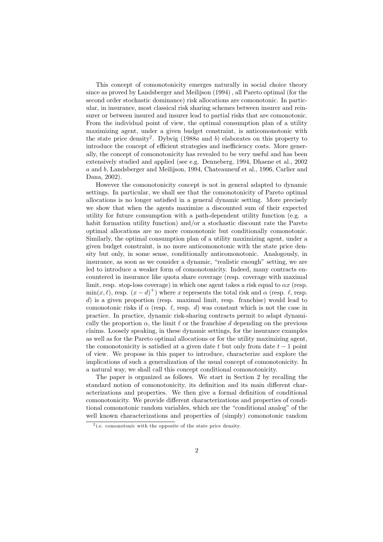This concept of comonotonicity emerges naturally in social choice theory since as proved by Landsberger and Meilijson  $(1994)$ , all Pareto optimal (for the second order stochastic dominance) risk allocations are comonotonic. In particular, in insurance, most classical risk sharing schemes between insurer and reinsurer or between insured and insurer lead to partial risks that are comonotonic. From the individual point of view, the optimal consumption plan of a utility maximizing agent, under a given budget constraint, is anticomonotonic with the state price density. Dybvig (1988a and b) elaborates on this property to introduce the concept of efficient strategies and inefficiency costs. More generally, the concept of comonotonicity has revealed to be very useful and has been extensively studied and applied (see e.g. Denneberg, 1994, Dhaene et al., 2002)  $a$  and  $b$ , Landsberger and Meilijson, 1994, Chateauneuf et al., 1996, Carlier and Dana, 2002).

However the comonotonicity concept is not in general adapted to dynamic settings. In particular, we shall see that the comonotonicity of Pareto optimal allocations is no longer satisfied in a general dynamic setting. More precisely we show that when the agents maximize a discounted sum of their expected utility for future consumption with a path-dependent utility function (e.g.  $\alpha$ habit formation utility function) and/or a stochastic discount rate the Pareto optimal allocations are no more comonotonic but conditionally comonotonic. Similarly, the optimal consumption plan of a utility maximizing agent, under a given budget constraint, is no more anticomonotonic with the state price density but only, in some sense, conditionally anticomonotonic. Analogously, in insurance, as soon as we consider a dynamic, "realistic enough" setting, we are led to introduce a weaker form of comonotonicity. Indeed, many contracts enfraque countered in insurance like quota share coverage (resp. coverage with maximal limit, resp. stop-loss coverage) in which one agent takes a risk equal to  $\alpha x$  (resp.  $\min(x, \ell)$ , resp.  $(x - d)^+$ ) where x represents the total risk and  $\alpha$  (resp.  $\ell$ , resp. d) is a given proportion (resp. maximal limit, resp. franchise) would lead to comonotonic risks if  $\alpha$  (resp. l, resp. d) was constant which is not the case in practice. In practice, dynamic risk-sharing contracts permit to adapt dynamically the proportion  $\alpha$ , the limit  $\ell$  or the franchise d depending on the previous claims. Loosely speaking, in these dynamic settings, for the insurance examples as well as for the Pareto optimal allocations or for the utility maximizing agent, the comonotonicity is satisfied at a given date t but only from date  $t-1$  point of view. We propose in this paper to introduce, characterize and explore the implications of such a generalization of the usual concept of comonotonicity. In a natural way, we shall call this concept conditional comonotonicity.

The paper is organized as follows. We start in Section 2 by recalling the standard notion of comonotonicity, its definition and its main different characterizations and properties. We then give a formal definition of conditional comonotonicity. We provide different characterizations and properties of conditional comonotonic random variables, which are the "conditional analog" of the well known characterizations and properties of (simply) comonotonic random

 $\epsilon$  i.e. comonotonic with the opposite of the state price density.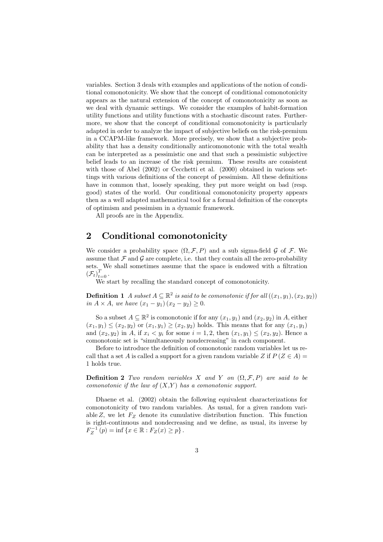variables. Section 3 deals with examples and applications of the notion of conditional comonotonicity. We show that the concept of conditional comonotonicity appears as the natural extension of the concept of comonotonicity as soon as we deal with dynamic settings. We consider the examples of habit-formation utility functions and utility functions with a stochastic discount rates. Furthermore, we show that the concept of conditional comonotonicity is particularly adapted in order to analyze the impact of subjective beliefs on the risk-premium in a CCAPM-like framework. More precisely, we show that a subjective probability that has a density conditionally anticomonotonic with the total wealth can be interpreted as a pessimistic one and that such a pessimistic subjective belief leads to an increase of the risk premium. These results are consistent with those of Abel  $(2002)$  or Cecchetti et al.  $(2000)$  obtained in various settings with various definitions of the concept of pessimism. All these definitions have in common that, loosely speaking, they put more weight on bad (resp. good) states of the world. Our conditional comonotonicity property appears then as a well adapted mathematical tool for a formal definition of the concepts of optimism and pessimism in a dynamic framework.

All proofs are in the Appendix.

# 2 Conditional comonotonicity

We consider a probability space  $(\Omega, \mathcal{F}, P)$  and a sub sigma-field G of F. We assume that  $\mathcal F$  and  $\mathcal G$  are complete, i.e. that they contain all the zero-probability sets. We shall somethies assume that the space is endowed with a intration  $\epsilon \tau \sqrt{T}$  $(\mathcal{F}_t)_{t=0}$ .

 $\widetilde{W}$  vecalling the standard concept of comonotonicity.

**Definition** 1 A subset  $A \subseteq \mathbb{R}^2$  is said to be comonotonic if for all  $((x_1, y_1), (x_2, y_2))$ in  $A \times A$ , we have  $(x_1 - y_1)(x_2 - y_2) \geq 0$ .

So a subset  $A \subseteq \mathbb{R}^2$  is comonotonic if for any  $(x_1, y_1)$  and  $(x_2, y_2)$  in A, either  $(x_1, y_1) \leq (x_2, y_2)$  or  $(x_1, y_1) \geq (x_2, y_2)$  holds. This means that for any  $(x_1, y_1)$ and  $(x_2, y_2)$  in A, if  $x_i < y_i$  for some  $i = 1, 2$ , then  $(x_1, y_1) \le (x_2, y_2)$ . Hence a comonotonic set is "simultaneously nondecreasing" in each component.

Before to introduce the definition of comonotonic random variables let us recall that a set A is called a support for a given random variable Z if  $P(Z \in A)$  = 1 holds true.

**Definition 2** Two random variables X and Y on  $(\Omega, \mathcal{F}, P)$  are said to be comonotonic if the law of  $(X, Y)$  has a comonotonic support.

Dhaene et al.  $(2002)$  obtain the following equivalent characterizations for comonotonicity of two random variables. As usual, for a given random variable Z, we let  $F_Z$  denote its cumulative distribution function. This function is right-continuous and nondecreasing and we define, as usual, its inverse by  $F_Z^{-1}(p) = \inf \{ x \in \mathbb{R} : F_Z(x) \geq p \}.$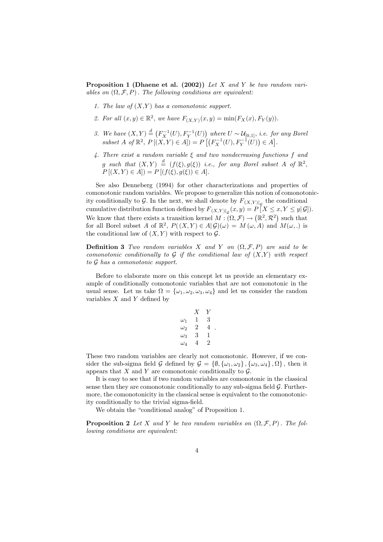**Proposition 1 (Dhaene et al. (2002))** Let X and Y be two random variables on  $(\Omega, \mathcal{F}, P)$ . The following conditions are equivalent:

- 1. The law of  $(X,Y)$  has a comonotonic support.
- 2. For all  $(x, y) \in \mathbb{R}^2$ , we have  $F_{(X,Y)}(x, y) = \min(F_X(x), F_Y(y)).$
- 3. We have  $(X, Y) \stackrel{d}{=} (F_X^{-1}(U), F_Y^{-1}(U))$  where  $U \sim \mathcal{U}_{[0,1]}$ , *i.e.* for any Borel subset  $A$  of  $\mathbb{R}^2$ ,  $P[(X, Y) \in A]) = P[(F_X^{-1}(U), F_Y^{-1}(U)) \in A]$ .
- 4. There exist a random variable  $\xi$  and two nondecreasing functions f and g such that  $(X, Y) \stackrel{d}{=} (f(\xi), g(\xi))$  i.e., for any Borel subset A of  $\mathbb{R}^2$ ,  $P[(X, Y) \in A]) = P[(f(\xi), g(\xi)) \in A].$

See also Denneberg (1994) for other characterizations and properties of comonotonic random variables. We propose to generalize this notion of comonotonicity conditionally to  $\mathcal G$ . In the next, we shall denote by  $F_{(X,Y)|_{\mathcal G}}$  the conditional cumulative distribution function defined by  $F_{(X,Y)|_{\mathcal G}}(x,y) = P[X \le x, Y \le y | \mathcal G]$ . We know that there exists a transition kernel  $M : (\Omega, \mathcal{F}) \to (\mathbb{R}^2, \mathcal{R}^2)$  such that for all Borel subset A of  $\mathbb{R}^2$ ,  $P((X,Y) \in A|\mathcal{G})(\omega) = M(\omega,A)$  and  $M(\omega,.)$  is the conditional law of  $(X, Y)$  with respect to  $\mathcal{G}$ .

**Definition 3** Two random variables X and Y on  $(\Omega, \mathcal{F}, P)$  are said to be comonotonic conditionally to  $G$  if the conditional law of  $(X,Y)$  with respect to  $G$  has a comonotonic support.

Before to elaborate more on this concept let us provide an elementary example of conditionally comonotonic variables that are not comonotonic in the usual sense. Let us take  $\Omega = {\omega_1, \omega_2, \omega_3, \omega_4}$  and let us consider the random variables  $X$  and  $Y$  defined by

| X | Y |
|---|---|
| 1 | 3 |
| 2 | 4 |
| 3 | 1 |
| 4 | 2 |
|   |   |

These two random variables are clearly not comonotonic. However, if we consider the sub-sigma field G defined by  $\mathcal{G} = \{\emptyset, \{\omega_1, \omega_2\}, \{\omega_3, \omega_4\}, \Omega\}$ , then it appears that X and Y are comonotonic conditionally to  $\mathcal{G}$ .

It is easy to see that if two random variables are comonotonic in the classical sense then they are comonotonic conditionally to any sub-sigma field  $\mathcal G$ . Furthermore, the comonotonicity in the classical sense is equivalent to the comonotonicity conditionally to the trivial sigma-field.

We obtain the "conditional analog" of Proposition 1.

**Proposition 2** Let X and Y be two random variables on  $(\Omega, \mathcal{F}, P)$ . The following conditions are equivalent: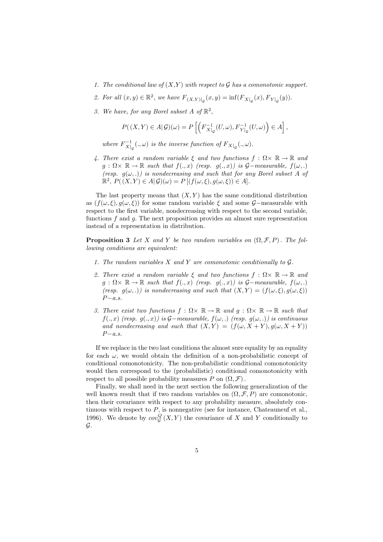- 1. The conditional law of  $(X,Y)$  with respect to G has a comonotonic support.
- 2. For all  $(x, y) \in \mathbb{R}^2$ , we have  $F_{(X,Y)|_G}(x, y) = \inf (F_{X|_G}(x), F_{Y|_G}(y)).$
- 3. We have, for any Borel subset A of  $\mathbb{R}^2$ ,

$$
P((X,Y)\in A|\mathcal{G})(\omega)=P\left[\left(F_{X|_{\mathcal{G}}}^{-1}(U,\omega),F_{Y|_{\mathcal{G}}}^{-1}(U,\omega)\right)\in A\right],
$$

where  $F_{X|_{\mathcal{C}}}^{-1}(.,\omega)$  is the inverse function of  $F_{X|_{\mathcal{C}}}(.,\omega)$ .

4. There exist a random variable  $\xi$  and two functions  $f : \Omega \times \mathbb{R} \to \mathbb{R}$  and  $g: \Omega \times \mathbb{R} \to \mathbb{R}$  such that  $f(.,x)$  (resp.  $g(.,x)$ ) is  $\mathcal{G}-measurable$ ,  $f(\omega,.)$ (resp.  $g(\omega,.)$ ) is nondecreasing and such that for any Borel subset A of  $\mathbb{R}^2$ ,  $P((X, Y) \in A | \mathcal{G})(\omega) = P[(f(\omega, \xi), g(\omega, \xi)) \in A].$ 

The last property means that  $(X, Y)$  has the same conditional distribution as  $(f(\omega,\xi), g(\omega,\xi))$  for some random variable  $\xi$  and some  $\mathcal{G}-$  measurable with respect to the first variable, nondecreasing with respect to the second variable, functions  $f$  and  $g$ . The next proposition provides an almost sure representation instead of a representation in distribution.

**Proposition 3** Let X and Y be two random variables on  $(\Omega, \mathcal{F}, P)$ . The following conditions are equivalent:

- 1. The random variables  $X$  and  $Y$  are comonotonic conditionally to  $G$ .
- 2. There exist a random variable  $\xi$  and two functions  $f : \Omega \times \mathbb{R} \to \mathbb{R}$  and  $g: \Omega \times \mathbb{R} \to \mathbb{R}$  such that  $f(.,x)$  (resp.  $g(.,x)$ ) is  $\mathcal{G}-measurable$ ,  $f(\omega,.)$ (resp.  $g(\omega,.)$ ) is nondecreasing and such that  $(X,Y) = (f(\omega,\xi), g(\omega,\xi))$  $P-a s$
- 3. There exist two functions  $f : \Omega \times \mathbb{R} \to \mathbb{R}$  and  $q : \Omega \times \mathbb{R} \to \mathbb{R}$  such that  $f(.,x)$  (resp.  $g(.,x)$ ) is  $\mathcal{G}-measurable$ ,  $f(\omega,.)$  (resp.  $g(\omega,.)$ ) is continuous and nondecreasing and such that  $(X, Y) = (f(\omega, X + Y), g(\omega, X + Y))$  $P-a.s.$

If we replace in the two last conditions the almost sure equality by an equality for each  $\omega$ , we would obtain the definition of a non-probabilistic concept of conditional comonotonicity. The non-probabilistic conditional comonotonicity would then correspond to the (probabilistic) conditional comonotonicity with respect to all possible probability measures P on  $(\Omega, \mathcal{F})$ .

Finally, we shall need in the next section the following generalization of the well known result that if two random variables on  $(\Omega, \mathcal{F}, P)$  are comonotonic, then their covariance with respect to any probability measure, absolutely continuous with respect to  $P$ , is nonnegative (see for instance, Chateauneuf et al., 1996). We denote by  $cov_G^Q(X, Y)$  the covariance of X and Y conditionally to  $\mathcal{G}.$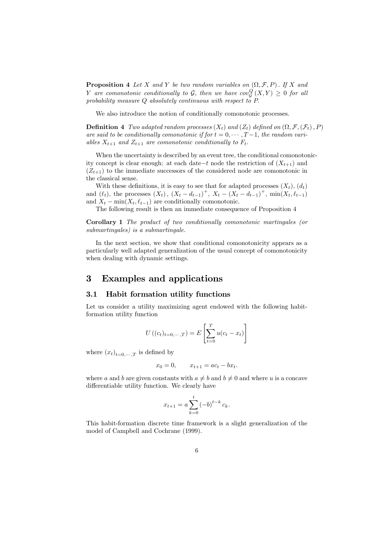**Proposition 4** Let X and Y be two random variables on  $(\Omega, \mathcal{F}, P)$ . If X and  $Y$  are comonotonic conditionally to  $\mathcal G,$  then we have  $cov^Q_{\mathcal G}\left(X,Y\right) \geq 0$  for all probability measure  $Q$  absolutely continuous with respect to  $P$ .

We also introduce the notion of conditionally comonotonic processes.

**Definition 4** Two adapted random processes  $(X_t)$  and  $(Z_t)$  defined on  $(\Omega, \mathcal{F}, (\mathcal{F}_t), P)$ are said to be conditionally comonotonic if for  $t = 0, \dots, T-1$ , the random variables  $X_{t+1}$  and  $Z_{t+1}$  are comonotonic conditionally to  $F_t$ .

When the uncertainty is described by an event tree, the conditional comonotonicity concept is clear enough: at each date-t node the restriction of  $(X_{t+1})$  and  $(Z_{t+1})$  to the immediate successors of the considered node are comonotonic in the classical sense.

With these definitions, it is easy to see that for adapted processes  $(X_t)$ ,  $(d_t)$ and  $(\ell_t)$ , the processes  $(X_t)$ ,  $(X_t - d_{t-1})^+$ ,  $X_t - (X_t - d_{t-1})^+$ ,  $\min(X_t, \ell_{t-1})$ and  $X_t - \min(X_t, \ell_{t-1})$  are conditionally comonotonic.

The following result is then an immediate consequence of Proposition 4

 $Corollary 1$  The product of two conditionally comonotonic martingales (or  $submartingales)$  is a submartingale.

In the next section, we show that conditional comonotonicity appears as a particularly well adapted generalization of the usual concept of comonotonicity when dealing with dynamic settings.

## 3 Examples and applications

## **3.1 Habit formation utility functions**

Let us consider a utility maximizing agent endowed with the following habitformation utility function

$$
U((c_t)_{t=0,\dots,T}) = E\left[\sum_{t=0}^{T} u(c_t - x_t)\right]
$$

where  $(x_t)_{t=0,\dots,T}$  is defined by

$$
x_0 = 0,
$$
  $x_{t+1} = ac_t - bx_t.$ 

where a and b are given constants with  $a \neq b$  and  $b \neq 0$  and where u is a concave differentiable utility function. We clearly have

$$
x_{t+1} = a \sum_{k=0}^{t} (-b)^{t-k} c_k.
$$

This habit-formation discrete time framework is a slight generalization of the model of Campbell and Cochrane (1999).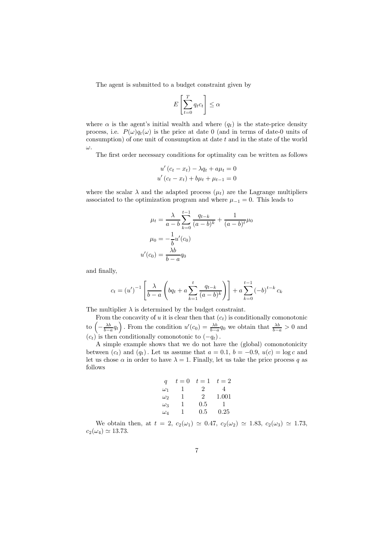The agent is submitted to a budget constraint given by

$$
E\left[\sum_{t=0}^{T} q_t c_t\right] \le \alpha
$$

where  $\alpha$  is the agent's initial wealth and where  $(q_t)$  is the state-price density process, i.e.  $P(\omega)q_t(\omega)$  is the price at date 0 (and in terms of date-0 units of consumption) of one unit of consumption at date  $t$  and in the state of the world  $\omega$ .

The first order necessary conditions for optimality can be written as follows

$$
u'(c_t - x_t) - \lambda q_t + a\mu_t = 0
$$
  
 
$$
u'(c_t - x_t) + b\mu_t + \mu_{t-1} = 0
$$

where the scalar  $\lambda$  and the adapted process  $(\mu_t)$  are the Lagrange multipliers associated to the optimization program and where  $\mu_{-1} = 0$ . This leads to

$$
\mu_t = \frac{\lambda}{a - b} \sum_{k=0}^{t-1} \frac{q_{t-k}}{(a - b)^k} + \frac{1}{(a - b)^t} \mu_0
$$

$$
\mu_0 = -\frac{1}{b} u'(c_0)
$$

$$
u'(c_0) = \frac{\lambda b}{b - a} q_0
$$

and finally,

$$
c_t = (u')^{-1} \left[ \frac{\lambda}{b-a} \left( bq_t + a \sum_{k=1}^t \frac{q_{t-k}}{(a-b)^k} \right) \right] + a \sum_{k=0}^{t-1} (-b)^{t-k} c_k
$$

The multiplier  $\lambda$  is determined by the budget constraint.

From the concavity of  $u$  it is clear then that  $(c_t)$  is conditionally comonotonic to  $\left(-\frac{\lambda b}{b-a}q_t\right)$ . From the condition  $u'(c_0) = \frac{\lambda b}{b-a}q_0$  we obtain that  $\frac{\lambda b}{b-a} > 0$  and  $(c_t)$  is then conditionally comonotonic to  $(-q_t)$ .

A simple example shows that we do not have the (global) comonotonicity between  $(c_t)$  and  $(q_t)$ . Let us assume that  $a = 0.1$ ,  $b = -0.9$ ,  $u(c) = \log c$  and let us chose  $\alpha$  in order to have  $\lambda = 1$ . Finally, let us take the price process q as follows

$$
\begin{array}{cccc}\n q & t = 0 & t = 1 & t = 2 \\
\omega_1 & 1 & 2 & 4 \\
\omega_2 & 1 & 2 & 1.001 \\
\omega_3 & 1 & 0.5 & 1 \\
\omega_4 & 1 & 0.5 & 0.25\n \end{array}
$$

We obtain then, at  $t = 2$ ,  $c_2(\omega_1) \approx 0.47$ ,  $c_2(\omega_2) \approx 1.83$ ,  $c_2(\omega_3) \approx 1.73$ ,  $c_2(\omega_4) \simeq 13.73.$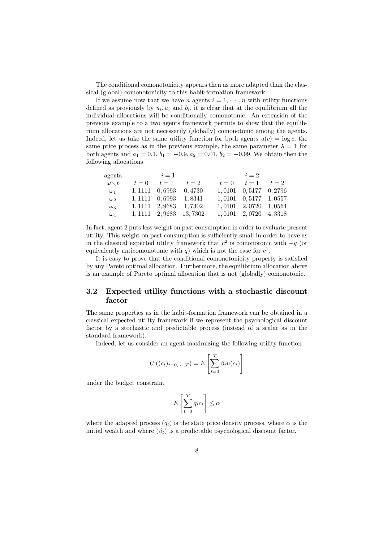The conditional comonotonicity appears then as more adapted than the classical (global) comonotonicity to this habit-formation framework.

If we assume now that we have *n* agents  $i = 1, \dots, n$  with utility functions defined as previously by  $u_i$ ,  $a_i$  and  $b_i$ , it is clear that at the equilibrium all the individual allocations will be conditionally comonotonic. An extension of the previous example to a two agents framework permits to show that the equilibrium allocations are not necessarily (globally) comonotonic among the agents. Indeed, let us take the same utility function for both agents  $u(c) = \log c$ , the same price process as in the previous example, the same parameter  $\lambda = 1$  for both agents and  $a_1 = 0.1$ ,  $b_1 = -0.9$ ,  $a_2 = 0.01$ ,  $b_2 = -0.99$ . We obtain then the following allocations

|                      | agents | $i=1$                      |                            |       | $i=2$                      |       |
|----------------------|--------|----------------------------|----------------------------|-------|----------------------------|-------|
| $\omega \diagdown t$ | $t=0$  | $t=1$                      | $t=2$                      | $t=0$ | $t=1$                      | $t=2$ |
| $\omega_1$           |        |                            | $1,1111$ $0,6993$ $0,4730$ |       | $1,0101$ $0,5177$ $0,2796$ |       |
| $\omega_2$           |        | $1,1111$ $0,6993$ $1,8341$ |                            |       | $1,0101$ $0,5177$ $1,0557$ |       |
| $\omega_3$           |        |                            | $1,1111$ $2,9683$ $1,7302$ |       | $1,0101$ $2,0720$ $1,0564$ |       |
| $\omega_4$           |        |                            | 1, 1111 2, 9683 13, 7302   |       | $1,0101$ $2,0720$ $4,3318$ |       |

In fact, agent 2 puts less weight on past consumption in order to evaluate present utility. This weight on past consumption is sufficiently small in order to have as in the classical expected utility framework that  $c^2$  is comonotonic with  $-q$  (or equivalently anticomonotonic with q) which is not the case for  $c^1$ .

It is easy to prove that the conditional comonotonicity property is satisfied by any Pareto optimal allocation. Furthermore, the equilibrium allocation above is an example of Pareto optimal allocation that is not (globally) comonotonic.

#### $3.2$ Expected utility functions with a stochastic discount factor

The same properties as in the habit-formation framework can be obtained in a classical expected utility framework if we represent the psychological discount factor by a stochastic and predictable process (instead of a scalar as in the standard framework).

Indeed, let us consider an agent maximizing the following utility function

$$
U((c_t)_{t=0,\cdots,T}) = E\left[\sum_{t=0}^{T} \beta_t u(c_t)\right]
$$

under the budget constraint

$$
E\left[\sum_{t=0}^{T} q_t c_t\right] \le \alpha
$$

where the adapted process  $(q_t)$  is the state price density process, where  $\alpha$  is the initial wealth and where  $(\beta_t)$  is a predictable psychological discount factor.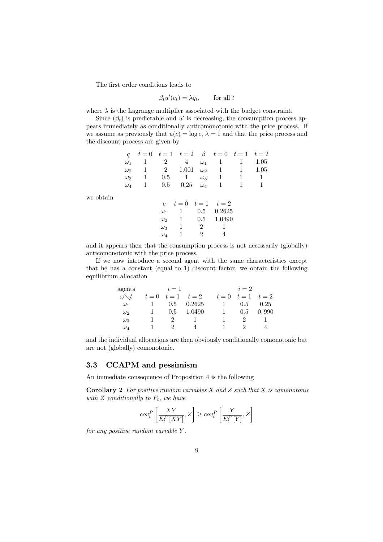The first order conditions leads to

 $\beta_t u'(c_t) = \lambda q_t,$ for all  $t$ 

where  $\lambda$  is the Lagrange multiplier associated with the budget constraint.

Since  $(\beta_t)$  is predictable and u' is decreasing, the consumption process appears immediately as conditionally anticomonotonic with the price process. If we assume as previously that  $u(c) = \log c$ ,  $\lambda = 1$  and that the price process and the discount process are given by

|           | q          |              |                |                |                | $t = 0$ $t = 1$ $t = 2$ $\beta$ $t = 0$ $t = 1$ $t = 2$ |   |      |
|-----------|------------|--------------|----------------|----------------|----------------|---------------------------------------------------------|---|------|
|           | $\omega_1$ | 1            | $\overline{2}$ | 4              | $\omega_1$     | 1                                                       | 1 | 1.05 |
|           | $\omega_2$ | 1            | 2              | 1.001          |                | $\omega_2$ 1                                            | 1 | 1.05 |
|           | $\omega_3$ | $\mathbf{1}$ | 0.5            | $\overline{1}$ |                | $\omega_3$ 1                                            | 1 | 1    |
|           | $\omega_4$ | 1            | 0.5            | 0.25           | $\omega_4$ 1   |                                                         | 1 | 1    |
| we obtain |            |              |                |                |                | c $t = 0$ $t = 1$ $t = 2$                               |   |      |
|           |            |              | $\omega_1$     | $\mathbf{1}$   | 0.5            | 0.2625                                                  |   |      |
|           |            |              | $\omega_2$     | 1              | 0.5            | 1.0490                                                  |   |      |
|           |            |              | $\omega_3$     | 1              | 2              | 1                                                       |   |      |
|           |            |              | $\omega_4$     | 1              | $\overline{2}$ | 4                                                       |   |      |
|           |            |              |                |                |                |                                                         |   |      |

and it appears then that the consumption process is not necessarily (globally) anticomonotonic with the price process.

If we now introduce a second agent with the same characteristics except that he has a constant (equal to 1) discount factor, we obtain the following equilibrium allocation

| agents               | $i=1$          |               |             | $i=2$        |             |       |  |
|----------------------|----------------|---------------|-------------|--------------|-------------|-------|--|
| $\omega \diagdown t$ | $t=0$          |               | $t=1$ $t=2$ | $t=0$        | $t=1$ $t=2$ |       |  |
| $\omega_1$           | $\blacksquare$ | 0.5           | 0.2625      | $\mathbf{1}$ | 0.5         | 0.25  |  |
| $\omega_2$           | $\blacksquare$ | 0.5           | 1.0490      | $\mathbf{1}$ | 0.5         | 0,990 |  |
| $\omega_3$           |                | $\mathcal{L}$ |             |              | $\cdot$     |       |  |
| $\omega_4$           |                | $\cdot$       | Δ           |              | ')          |       |  |

and the individual allocations are then obviously conditionally comonotonic but are not (globally) comonotonic.

#### 3.3 **CCAPM** and pessimism

An immediate consequence of Proposition 4 is the following

**Corollary 2** For positive random variables X and Z such that X is comonotonic with  $Z$  conditionally to  $F_t$ , we have

$$
cov_t^P\left[\frac{XY}{E_t^P[XY]},Z\right] \geq cov_t^P\left[\frac{Y}{E_t^P[Y]},Z\right]
$$

for any positive random variable  $Y$ .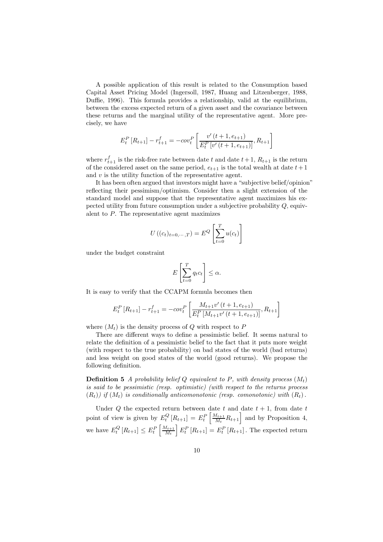A possible application of this result is related to the Consumption based Capital Asset Pricing Model (Ingersoll, 1987, Huang and Litzenberger, 1988, Duffie, 1996). This formula provides a relationship, valid at the equilibrium, between the excess expected return of a given asset and the covariance between these returns and the marginal utility of the representative agent. More precisely, we have

$$
E_t^P\left[R_{t+1}\right] - r_{t+1}^f = -cov_t^P\left[\frac{v'(t+1, e_{t+1})}{E_t^P\left[v'(t+1, e_{t+1})\right]}, R_{t+1}\right]
$$

where  $r_{t+1}^f$  is the risk-free rate between date t and date  $t+1$ ,  $R_{t+1}$  is the return of the considered asset on the same period,  $e_{t+1}$  is the total wealth at date  $t+1$ and  $v$  is the utility function of the representative agent.

It has been often argued that investors might have a "subjective belief/opinion" reflecting their pessimism/optimism. Consider then a slight extension of the standard model and suppose that the representative agent maximizes his expected utility from future consumption under a subjective probability  $Q$ , equivalent to  $P$ . The representative agent maximizes

$$
U((c_t)_{t=0,\cdots,T}) = E^Q \left[ \sum_{t=0}^T u(c_t) \right]
$$

under the budget constraint

$$
E\left[\sum_{t=0}^{T} q_t c_t\right] \leq \alpha.
$$

It is easy to verify that the CCAPM formula becomes then

$$
E_t^P\left[R_{t+1}\right] - r_{t+1}^f = -cov_t^P\left[\frac{M_{t+1}v'\left(t+1, e_{t+1}\right)}{E_t^P\left[M_{t+1}v'\left(t+1, e_{t+1}\right)\right]}, R_{t+1}\right]
$$

where  $(M_t)$  is the density process of Q with respect to P

There are different ways to define a pessimistic belief. It seems natural to relate the definition of a pessimistic belief to the fact that it puts more weight (with respect to the true probability) on bad states of the world (bad returns) and less weight on good states of the world (good returns). We propose the following definition.

**Definition 5** A probability belief O equivalent to P, with density process  $(M_t)$ is said to be pessimistic (resp. optimistic) (with respect to the returns process  $(R_t)$ ) if  $(M_t)$  is conditionally anticomonotonic (resp. comonotonic) with  $(R_t)$ .

Under  $Q$  the expected return between date  $t$  and date  $t + 1$ , from date  $t$ point of view is given by  $E_t^Q[R_{t+1}] = E_t^P\left[\frac{M_{t+1}}{M_t}R_{t+1}\right]$  and by Proposition 4, we have  $E_t^Q[R_{t+1}] \leq E_t^P\left[\frac{M_{t+1}}{M_t}\right]E_t^P[R_{t+1}] = E_t^P[R_{t+1}]$ . The expected return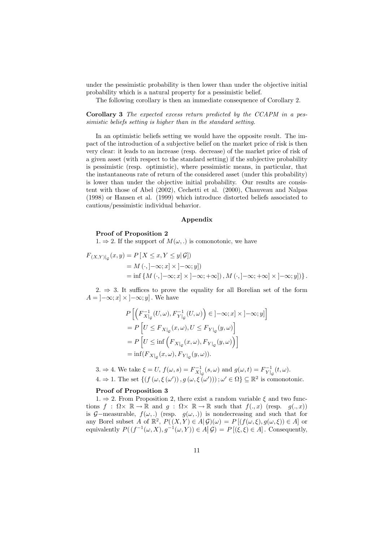under the pessimistic probability is then lower than under the objective initial probability which is a natural property for a pessimistic belief.

The following corollary is then an immediate consequence of Corollary 2.

Corollary 3 The expected excess return predicted by the CCAPM in a pessimistic beliefs setting is higher than in the standard setting.

In an optimistic beliefs setting we would have the opposite result. The impact of the introduction of a subjective belief on the market price of risk is then very clear: it leads to an increase (resp. decrease) of the market price of risk of a given asset (with respect to the standard setting) if the subjective probability is pessimistic (resp. optimistic), where pessimistic means, in particular, that the instantaneous rate of return of the considered asset (under this probability) is lower than under the objective initial probability. Our results are consistent tent with those of Abel  $(2002)$ . Cechetti et al.  $(2000)$ . Chauveau and Nalpas  $(1998)$  or Hansen et al.  $(1999)$  which introduce distorted beliefs associated to cautious/pessimistic individual behavior.

### Appendix

### Proof of Proposition 2

 $1. \Rightarrow 2.$  If the support of  $M(\omega, .)$  is comonotonic, we have

$$
F_{(X,Y)|_{\mathcal{G}}}(x,y) = P[X \le x, Y \le y|\mathcal{G}])
$$
  
=  $M(\cdot, ]-\infty; x] \times ]-\infty; y]$   
=  $\inf \{M(\cdot, ]-\infty; x] \times ]-\infty; +\infty] \}, M(\cdot, ]-\infty; +\infty] \times ]-\infty; y] \}.$ 

 $2. \Rightarrow 3.$  It suffices to prove the equality for all Borelian set of the form  $A = ]-\infty; x] \times ]-\infty; y]$ . We have

$$
P\left[\left(F_{X|_{\mathcal{G}}}^{-1}(U,\omega), F_{Y|_{\mathcal{G}}}^{-1}(U,\omega)\right) \in [-\infty; x] \times [-\infty; y]\right]
$$
  
=  $P\left[U \leq F_{X|_{\mathcal{G}}}(x,\omega), U \leq F_{Y|_{\mathcal{G}}}(y,\omega)\right]$   
=  $P\left[U \leq \inf\left(F_{X|_{\mathcal{G}}}(x,\omega), F_{Y|_{\mathcal{G}}}(y,\omega)\right)\right]$   
=  $\inf\left(F_{X|_{\mathcal{G}}}(x,\omega), F_{Y|_{\mathcal{G}}}(y,\omega)\right).$ 

 $6.3. \Rightarrow 4.$  We take  $\xi = U$ ,  $f(\omega, s) = F^{-1}_{X|_{\mathcal{G}}}(s, \omega)$  and  $g(\omega, t) = F^{-1}_{Y|_{\mathcal{G}}}(t, \omega)$ .

 $4. \Rightarrow 1.$  The set  $\{ (f(\omega, \xi(\omega'))), g(\omega, \xi(\omega')) \}; \omega' \in \Omega \} \subseteq \mathbb{R}^2$  is comonotonic.

## Proof of Proposition 3

 $1 \Rightarrow 2$ . From Proposition 2, there exist a random variable  $\xi$  and two functions  $f : \Omega \times \mathbb{R} \to \mathbb{R}$  and  $g : \Omega \times \mathbb{R} \to \mathbb{R}$  such that  $f(. , x)$  (resp.  $g(. , x)$ ) is 9-ineasurable,  $j(\omega,.)$  (resp.  $g(\omega,.)$ ) is nondecreasing and such that for any Borel subset A of  $\mathbb{R}^2$ ,  $P((X, Y) \in A | \mathcal{G})(\omega) = P | (f(\omega, \xi), g(\omega, \xi)) \in A |$  or equivalently  $P((f^{-1}(\omega, X), g^{-1}(\omega, Y)) \in A | \mathcal{G}) = P[(\xi, \xi) \in A]$ . Consequently,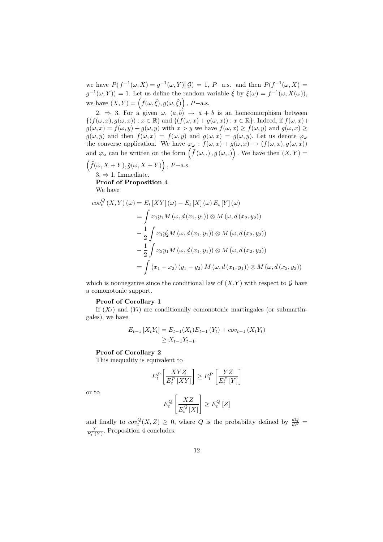we have  $P(f^{-1}(\omega, X) = g^{-1}(\omega, Y) | \mathcal{G}) = 1$ , P-a.s. and then  $P(f^{-1}(\omega, X) =$  $g^{-1}(\omega, Y)$  = 1. Let us define the random variable  $\tilde{\xi}$  by  $\tilde{\xi}(\omega) = f^{-1}(\omega, X(\omega)),$ we have  $(X,Y) = (f(\omega, \tilde{\xi}), g(\omega, \tilde{\xi}))$ , P-a.s.

2.  $\Rightarrow$  3. For a given  $\omega$ ,  $(a,b) \rightarrow a+b$  is an homeomorphism between  $\{(f(\omega, x), g(\omega, x)) : x \in \mathbb{R}\}\$ and  $\{(f(\omega, x) + g(\omega, x)) : x \in \mathbb{R}\}\$ . Indeed, if  $f(\omega, x) +$  $g(\omega, x) = f(\omega, y) + g(\omega, y)$  with  $x > y$  we have  $f(\omega, x) \ge f(\omega, y)$  and  $g(\omega, x) \ge f(\omega, y)$  $g(\omega, y)$  and then  $f(\omega, x) = f(\omega, y)$  and  $g(\omega, x) = g(\omega, y)$ . Let us denote  $\varphi_{\omega}$ the converse application. We have  $\varphi_{\omega} : f(\omega, x) + g(\omega, x) \to (f(\omega, x), g(\omega, x))$ and  $\varphi_{\omega}$  can be written on the form  $(\tilde{f}(\omega, .), \tilde{g}(\omega, .))$ . We have then  $(X, Y)$  =

$$
(\tilde{f}(\omega, X+Y), \tilde{g}(\omega, X+Y)), P\text{-a.s.}
$$

 $3. \Rightarrow 1.$  Immediate.

**Proof of Proposition 4** We have

$$
cov_t^Q(X, Y) (\omega) = E_t [XY] (\omega) - E_t [X] (\omega) E_t [Y] (\omega)
$$
  
=  $\int x_1 y_1 M (\omega, d(x_1, y_1)) \otimes M (\omega, d(x_2, y_2))$   
 $- \frac{1}{2} \int x_1 y_2 M (\omega, d(x_1, y_1)) \otimes M (\omega, d(x_2, y_2))$   
 $- \frac{1}{2} \int x_2 y_1 M (\omega, d(x_1, y_1)) \otimes M (\omega, d(x_2, y_2))$   
=  $\int (x_1 - x_2) (y_1 - y_2) M (\omega, d(x_1, y_1)) \otimes M (\omega, d(x_2, y_2))$ 

which is nonnegative since the conditional law of  $(X,Y)$  with respect to  $\mathcal G$  have a comonotonic support.

### Proof of Corollary 1

If  $(X_t)$  and  $(Y_t)$  are conditionally comonotonic martingales (or submartingales), we have

$$
E_{t-1}[X_t Y_t] = E_{t-1}(X_t) E_{t-1}(Y_t) + cov_{t-1}(X_t Y_t)
$$
  
\n
$$
\geq X_{t-1} Y_{t-1}.
$$

## Proof of Corollary 2

This inequality is equivalent to

$$
E_t^P\left[\frac{XYZ}{E_t^P\left[XY\right]}\right] \ge E_t^P\left[\frac{YZ}{E_t^P\left[Y\right]}\right]
$$

or to

$$
E_t^Q\left[\frac{XZ}{E_t^Q\left[X\right]}\right] \ge E_t^Q\left[Z\right]
$$

and finally to  $cov_t^Q(X, Z) \geq 0$ , where Q is the probability defined by  $\frac{dQ}{dP}$  $\frac{Y}{E_{\tau}^P(Y)}$ . Proposition 4 concludes.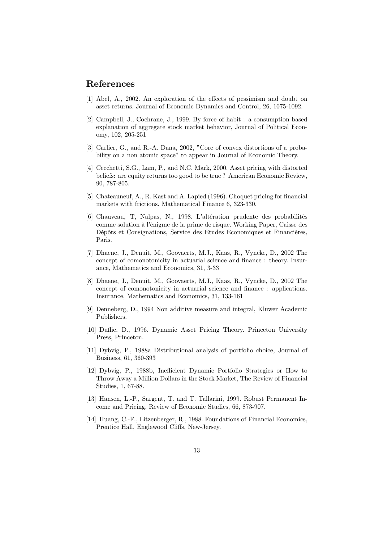# References

- [1] Abel, A., 2002. An exploration of the effects of pessimism and doubt on asset returns. Journal of Economic Dynamics and Control, 26, 1075-1092.
- [2] Campbell, J., Cochrane, J., 1999. By force of habit : a consumption based explanation of aggregate stock market behavior, Journal of Political Economy, 102, 205-251
- [3] Carlier, G., and R.-A. Dana, 2002, "Core of convex distortions of a probability on a non atomic space" to appear in Journal of Economic Theory.
- [4] Cecchetti, S.G., Lam, P., and N.C. Mark, 2000. Asset pricing with distorted beliefs: are equity returns too good to be true? American Economic Review, 90, 787-805.
- [5] Chateauneuf, A., R. Kast and A. Lapied (1996). Choquet pricing for financial markets with frictions. Mathematical Finance 6, 323-330.
- [6] Chauveau, T, Nalpas, N., 1998. L'altération prudente des probabilités comme solution à l'énigme de la prime de risque. Working Paper, Caisse des Dépôts et Consignations, Service des Etudes Economiques et Financières. Paris.
- [7] Dhaene, J., Denuit, M., Goovaerts, M.J., Kaas, R., Vyncke, D., 2002 The concept of comonotonicity in actuarial science and finance: theory. Insurance, Mathematics and Economics, 31, 3-33
- [8] Dhaene, J., Denuit, M., Goovaerts, M.J., Kaas, R., Vyncke, D., 2002 The concept of comonotonicity in actuarial science and finance : applications. Insurance, Mathematics and Economics, 31, 133-161
- [9] Denneberg, D., 1994 Non additive measure and integral, Kluwer Academic Publishers.
- [10] Duffie, D., 1996. Dynamic Asset Pricing Theory. Princeton University Press. Princeton.
- [11] Dybyig, P., 1988a Distributional analysis of portfolio choice, Journal of Business, 61, 360-393
- [12] Dybyig, P., 1988b, Inefficient Dynamic Portfolio Strategies or How to Throw Away a Million Dollars in the Stock Market, The Review of Financial Studies, 1, 67-88.
- [13] Hansen, L.-P., Sargent, T. and T. Tallarini, 1999. Robust Permanent Income and Pricing. Review of Economic Studies, 66, 873-907.
- [14] Huang, C.-F., Litzenberger, R., 1988. Foundations of Financial Economics, Prentice Hall, Englewood Cliffs, New-Jersey.